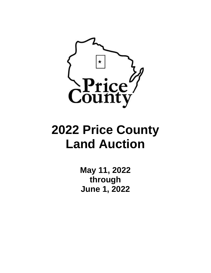

# **2022 Price County Land Auction**

**May 11, 2022 through June 1, 2022**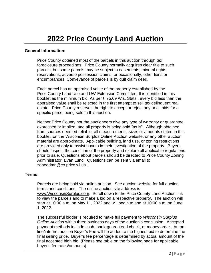# **General Information:**

Price County obtained most of the parcels in this auction through tax foreclosure proceedings. Price County normally acquires clear title to such parcels, but some parcels may be subject to easements, mineral rights, reservations, adverse possession claims, or occasionally, other liens or encumbrances. Conveyance of parcels is by quit claim deed.

Each parcel has an appraised value of the property established by the Price County Land Use and UW-Extension Committee. It is identified in this booklet as the minimum bid. As per § 75.69 Wis. Stats., every bid less than the appraised value shall be rejected in the first attempt to sell tax delinquent real estate. Price County reserves the right to accept or reject any or all bids for a specific parcel being sold in this auction.

Neither Price County nor the auctioneers give any type of warranty or guarantee, expressed or implied, and all property is being sold "as is". Although obtained from sources deemed reliable, all measurements, sizes or amounts stated in this booklet, on the Wisconsin Surplus Online Auction website, or any other auction material are approximate. Applicable building, land use, or zoning restrictions are provided only to assist buyers in their investigation of the property. Buyers should inspect the condition of the property and explore all applicable regulations prior to sale. Questions about parcels should be directed to Price County Zoning Administrator, Evan Lund. Questions can be sent via email to [zoneadmn@co.price.wi.us](mailto:zoneadmn@co.price.wi.us) .

# **Terms:**

Parcels are being sold via online auction. See auction website for full auction terms and conditions. The online auction site address is www.WisconsinSurplus.com. Scroll down to the Price County Land Auction link to view the parcels and to make a bid on a respective property. The auction will start at 10:00 a.m. on May 11, 2022 and will begin to end at 10:00 a.m. on June 1, 2022.

The successful bidder is required to make full payment to *Wisconsin Surplus Online Auction* within three business days of the auction's conclusion. Accepted payment methods include cash, bank-guaranteed check, or money order. An online/internet auction Buyer's Fee will be added to the highest bid to determine the final selling price. Buyer's fee percentage is determined by actual amount of the final accepted high bid. (Please see table on the following page for applicable buyer's fee rates/amounts)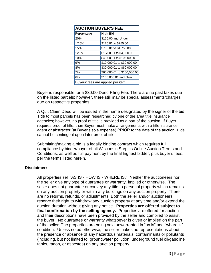| <b>AUCTION BUYER'S FEE</b>        |                             |
|-----------------------------------|-----------------------------|
| Percentage                        | <b>High Bid</b>             |
| 20%                               | \$125.00 and Under          |
| 17.5%                             | \$125.01 to \$750.00        |
| 15%                               | \$750.01 to \$1,750.00      |
| 12.5%                             | \$1,750.01 to \$4,000.00    |
| 10%                               | \$4,000.01 to \$10,000.00   |
| 9%                                | \$10,000.01 to \$30,000.00  |
| 8%                                | \$30,000.01 to \$60,000.00  |
| 7%                                | \$60,000.01 to \$100,000.00 |
| 6%                                | \$100,000.01 and Over       |
| Buyers' fees are applied per item |                             |

Buyer is responsible for a \$30.00 Deed Filing Fee. There are no past taxes due on the listed parcels; however, there still may be special assessments/charges due on respective properties.

A Quit Claim Deed will be issued in the name designated by the signer of the bid. Title to most parcels has been researched by one of the area title insurance agencies; however, no proof of title is provided as a part of the auction. If Buyer requires proof of title, then Buyer must make arrangements with a title insurance agent or abstractor (at Buyer's sole expense) PRIOR to the date of the auction. Bids cannot be contingent upon later proof of title.

Submitting/making a bid is a legally binding contract which requires full compliance by bidder/buyer of all Wisconsin Surplus Online Auction Terms and Conditions, as well as full payment by the final highest bidder, plus buyer's fees, per the terms listed herein.

# **Disclaimer:**

All properties sell "AS IS - HOW IS - WHERE IS." Neither the auctioneers nor the seller give any type of guarantee or warranty, implied or otherwise. The seller does not guarantee or convey any title to personal property which remains on any auction property or within any buildings on any auction property. There are no returns, refunds, or adjustments. Both the seller and/or auctioneers reserve their right to withdraw any auction property at any time and/or extend the auction duration without giving any notice. **Properties are offered subject to final confirmation by the selling agency.** Properties are offered for auction and their descriptions have been provided by the seller and compiled to assist the buyer. No guarantee or warranty whatsoever is given or implied on the part of the seller. The properties are being sold unwarranted in "as is" and "where is" condition. Unless noted otherwise, the seller makes no representations about the presence or absence of any hazardous materials, contaminants or pollutants (including, but not limited to, groundwater pollution, underground fuel oil/gasoline tanks, radon, or asbestos) on any auction property.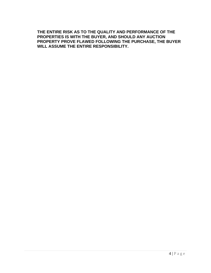**THE ENTIRE RISK AS TO THE QUALITY AND PERFORMANCE OF THE PROPERTIES IS WITH THE BUYER, AND SHOULD ANY AUCTION PROPERTY PROVE FLAWED FOLLOWING THE PURCHASE, THE BUYER WILL ASSUME THE ENTIRE RESPONSIBILITY.**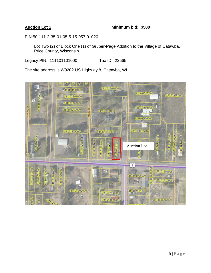### **Auction Lot 1 Minimum bid: \$500**

PIN:50-111-2-35-01-05-5-15-057-01020

Lot Two (2) of Block One (1) of Gruber-Page Addition to the Village of Catawba, Price County, Wisconsin.

Legacy PIN: 111101101000 Tax ID: 22565

The site address is W9202 US Highway 8, Catawba, WI

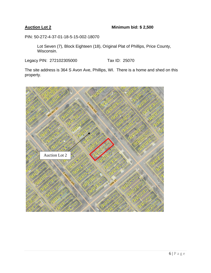# **Auction Lot 2 Minimum bid: \$ 2,500**

PIN: 50-272-4-37-01-18-5-15-002-18070

Lot Seven (7), Block Eighteen (18), Original Plat of Phillips, Price County, Wisconsin.

Legacy PIN: 272102305000 Tax ID: 25070

The site address is 364 S Avon Ave, Phillips, WI. There is a home and shed on this property.

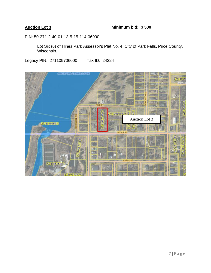# **Auction Lot 3 Minimum bid: \$ 500**

PIN: 50-271-2-40-01-13-5-15-114-06000

Lot Six (6) of Hines Park Assessor's Plat No. 4, City of Park Falls, Price County, Wisconsin.

Legacy PIN: 271109706000 Tax ID: 24324

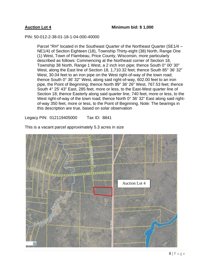### PIN: 50-012-2-38-01-18-1-04-000-40000

Parcel "RH" located in the Southeast Quarter of the Northeast Quarter (SE1/4 – NE1/4) of Section Eighteen (18), Township Thirty-eight (38) North, Range One (1) West, Town of Flambeau, Price County, Wisconsin, more particularly described as follows: Commencing at the Northeast corner of Section 18, Township 38 North, Range 1 West, a 2 inch iron pipe; thence South 0° 00' 30" West, along the East line of Section 18, 1,710.32 feet; thence South 85° 36' 32" West, 30.04 feet to an iron pipe on the West right-of-way of the town road; thence South 0° 36' 32" West, along said right-of-way, 602.00 feet to an iron pipe, the Point of Beginning; thence North 89° 36' 26" West, 767.53 feet; thence South 4° 25' 43" East, 285 feet, more or less, to the East-West quarter line of Section 18; thence Easterly along said quarter line, 740 feet, more or less, to the West right-of-way of the town road; thence North 0° 36' 32" East along said rightof-way 350 feet, more or less, to the Point of Beginning. Note: The bearings in this description are true, based on solar observation

Legacy PIN: 012119405000 Tax ID: 8841



This is a vacant parcel approximately 5.3 acres in size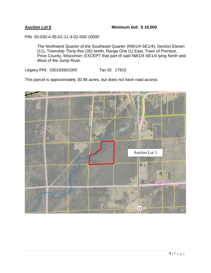PIN: 50-030-4-35-01-11-4-02-000-10000

The Northwest Quarter of the Southeast Quarter (NW1/4-SE1/4), Section Eleven (11), Township Thirty-five (35) North, Range One (1) East, Town of Prentice, Price County, Wisconsin; EXCEPT that part of said NW1/4-SE1/4 lying North and West of the Jump River.

Legacy PIN: 030102601000 Tax ID: 17915

This parcel is approximately 30.96 acres, but does not have road access.